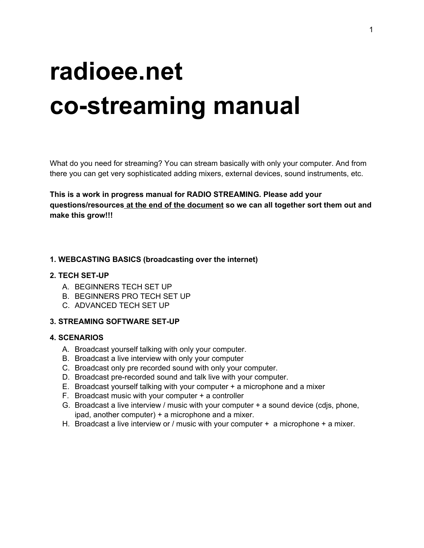# **radioee.net co-streaming manual**

What do you need for streaming? You can stream basically with only your computer. And from there you can get very sophisticated adding mixers, external devices, sound instruments, etc.

**This is a work in progress manual for RADIO STREAMING. Please add your questions/resources at the end of the document so we can all together sort them out and make this grow!!!**

#### **1. WEBCASTING BASICS (broadcasting over the internet)**

#### **2. TECH SET-UP**

- A. BEGINNERS TECH SET UP
- B. BEGINNERS PRO TECH SET UP
- C. ADVANCED TECH SET UP

#### **3. STREAMING SOFTWARE SET-UP**

#### **4. SCENARIOS**

- A. [Broadcast](#page-7-0) yourself talking with only your computer.
- B. [Broadcast](#page-7-1) a live interview with only your computer
- C. [Broadcast](#page-8-0) only pre recorded sound with only your computer.
- D. Broadcast [pre-recorded](#page-8-1) sound and talk live with your computer.
- E. Broadcast yourself talking with your computer + a [microphone](#page-8-2) and a mixer
- F. [Broadcast](#page-8-3) music with your computer + a controller
- G. [Broadcast](#page-8-3) a live interview / music with your computer + a sound device (cdjs, phone, ipad, another computer) + a [microphone](#page-8-3) and a mixer.
- H. Broadcast a live interview or / music with your computer  $+$  a microphone  $+$  a mixer.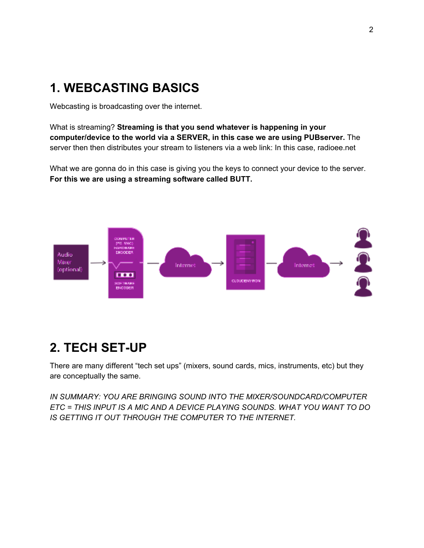# **1. WEBCASTING BASICS**

Webcasting is broadcasting over the internet.

What is streaming? **Streaming is that you send whatever is happening in your computer/device to the world via a SERVER, in this case we are using PUBserver.** The server then then distributes your stream to listeners via a web link: In this case, radioee.net

What we are gonna do in this case is giving you the keys to connect your device to the server. **For this we are using a streaming software called BUTT.**



## **2. TECH SET-UP**

There are many different "tech set ups" (mixers, sound cards, mics, instruments, etc) but they are conceptually the same.

*IN SUMMARY: YOU ARE BRINGING SOUND INTO THE MIXER/SOUNDCARD/COMPUTER ETC = THIS INPUT IS A MIC AND A DEVICE PLAYING SOUNDS. WHAT YOU WANT TO DO IS GETTING IT OUT THROUGH THE COMPUTER TO THE INTERNET.*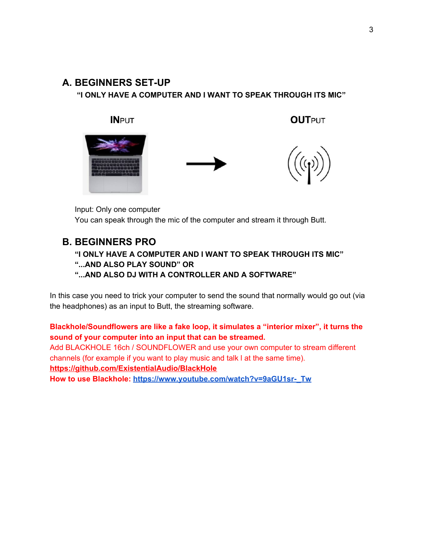### **A. BEGINNERS SET-UP**

**"I ONLY HAVE A COMPUTER AND I WANT TO SPEAK THROUGH ITS MIC"**



Input: Only one computer You can speak through the mic of the computer and stream it through Butt.

## **B. BEGINNERS PRO**

**"I ONLY HAVE A COMPUTER AND I WANT TO SPEAK THROUGH ITS MIC" "...AND ALSO PLAY SOUND" OR**

**"...AND ALSO DJ WITH A CONTROLLER AND A SOFTWARE"**

In this case you need to trick your computer to send the sound that normally would go out (via the headphones) as an input to Butt, the streaming software.

**Blackhole/Soundflowers are like a fake loop, it simulates a "interior mixer", it turns the sound of your computer into an input that can be streamed.**

Add BLACKHOLE 16ch / SOUNDFLOWER and use your own computer to stream different channels (for example if you want to play music and talk l at the same time). **<https://github.com/ExistentialAudio/BlackHole>**

**How to use Blackhole: [https://www.youtube.com/watch?v=9aGU1sr-\\_Tw](https://www.youtube.com/watch?v=9aGU1sr-_Tw)**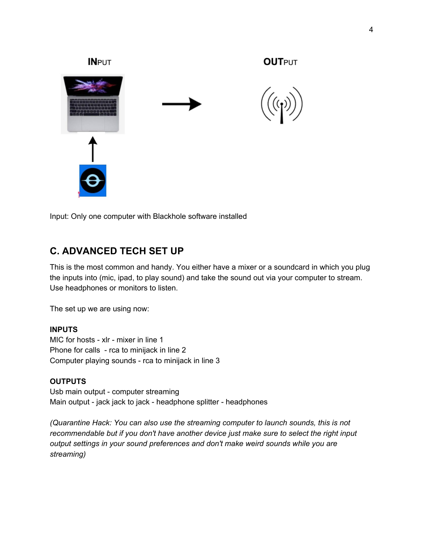

Input: Only one computer with Blackhole software installed

## **C. ADVANCED TECH SET UP**

This is the most common and handy. You either have a mixer or a soundcard in which you plug the inputs into (mic, ipad, to play sound) and take the sound out via your computer to stream. Use headphones or monitors to listen.

The set up we are using now:

#### **INPUTS**

MIC for hosts - xlr - mixer in line 1 Phone for calls - rca to minijack in line 2 Computer playing sounds - rca to minijack in line 3

#### **OUTPUTS**

Usb main output - computer streaming Main output - jack jack to jack - headphone splitter - headphones

*(Quarantine Hack: You can also use the streaming computer to launch sounds, this is not recommendable but if you don't have another device just make sure to select the right input output settings in your sound preferences and don't make weird sounds while you are streaming)*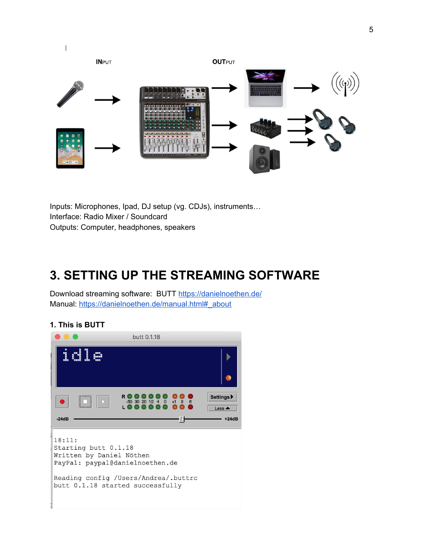

Inputs: Microphones, Ipad, DJ setup (vg. CDJs), instruments… Interface: Radio Mixer / Soundcard Outputs: Computer, headphones, speakers

# **3. SETTING UP THE STREAMING SOFTWARE**

Download streaming software: BUTT <https://danielnoethen.de/> Manual: [https://danielnoethen.de/manual.html#\\_about](https://danielnoethen.de/manual.html#_about)

#### **1. This is BUTT**

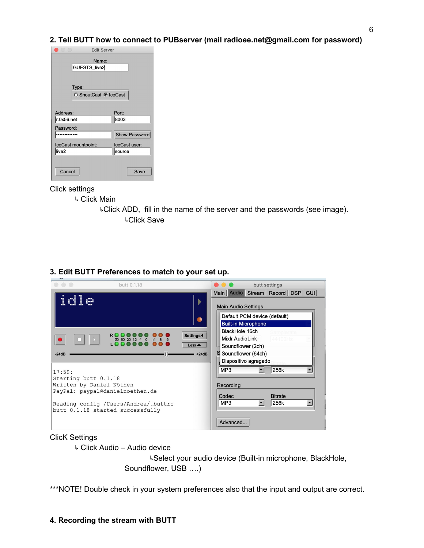**2. Tell BUTT how to connect to PUBserver (mail radioee.net@gmail.com for password)**

| $\bullet$ ( ) ( )            | <b>Edit Server</b>      |
|------------------------------|-------------------------|
| GUESTS_live2                 | Name:                   |
| Type:                        | ○ ShoutCast ● IceCast   |
| Address:                     | Port:                   |
| r.0x56.net                   | 8003                    |
| Password:                    |                         |
|                              | Show Password           |
| IceCast mountpoint:<br>live2 | IceCast user:<br>source |
| Cancel                       | Save                    |

#### Click settings

- ↳ Click Main
	- ↳Click ADD, fill in the name of the server and the passwords (see image). ↳Click Save

| butt 0.1.18                                                               | butt settings                    |
|---------------------------------------------------------------------------|----------------------------------|
|                                                                           | Main Audio Stream Record DSP GUI |
|                                                                           | <b>Main Audio Settings</b>       |
|                                                                           | Default PCM device (default)     |
|                                                                           | <b>Built-in Microphone</b>       |
| Settings <sup>4</sup>                                                     | BlackHole 16ch<br>Samplera       |
| $-50$ 30 20 12 4 0                                                        | Mixlr AudioLink<br>44100Hz       |
| Less $\triangle$                                                          | Soundflower (2ch)                |
| $-24dB$<br>$+24dB$                                                        | Soundflower (64ch)               |
|                                                                           | Dispositivo agregado             |
| 17:59:                                                                    | MP <sub>3</sub><br>256k          |
| Starting butt 0.1.18                                                      |                                  |
| Written by Daniel Nöthen                                                  | Recording                        |
| PayPal: paypal@danielnoethen.de                                           | <b>Bitrate</b><br>Codec          |
|                                                                           | MP3<br>256k                      |
| Reading config / Users/Andrea/.buttrc<br>butt 0.1.18 started successfully |                                  |
|                                                                           |                                  |
|                                                                           | Advanced                         |

#### **3. Edit BUTT Preferences to match to your set up.**

#### ClicK Settings

↳ Click Audio – Audio device

↳Select your audio device (Built-in microphone, BlackHole, Soundflower, USB ….)

\*\*\*NOTE! Double check in your system preferences also that the input and output are correct.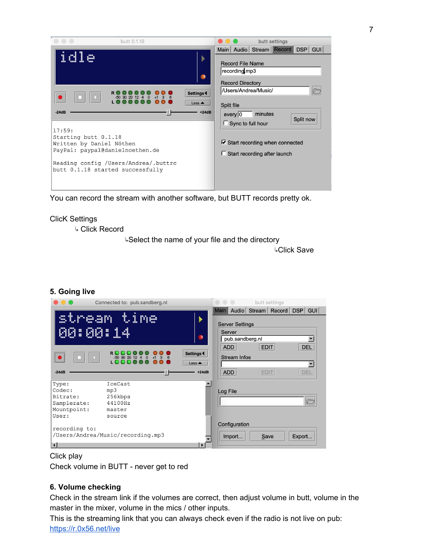| butt 0.1.18                                                                                                                                                                           |                                                | butt settings                                                                                                                                             |
|---------------------------------------------------------------------------------------------------------------------------------------------------------------------------------------|------------------------------------------------|-----------------------------------------------------------------------------------------------------------------------------------------------------------|
| ga.                                                                                                                                                                                   | ۰<br>Settings <sup>4</sup><br>Less $\triangle$ | Main   Audio   Stream   Record   DSP   GUI  <br><b>Record File Name</b><br>recording mp3<br><b>Record Directory</b><br>/Users/Andrea/Music/<br>Split file |
| $-24dB$<br>17:59:<br>Starting butt 0.1.18<br>Written by Daniel Nöthen<br>PayPal: paypal@danielnoethen.de<br>Reading config / Users/Andrea/.buttrc<br>butt 0.1.18 started successfully | $+24dB$                                        | minutes<br>$every$ <sub>0</sub><br>Split now<br>$\Box$ Sync to full hour<br>Start recording when connected<br>Start recording after launch                |

You can record the stream with another software, but BUTT records pretty ok.

#### ClicK Settings

↳ Click Record

↳Select the name of your file and the directory

↳Click Save

|                                                                    | Connected to: pub.sandberg.nl                            |                                                      | $\circ \circ \circ$                                 | butt settings                    |                   |
|--------------------------------------------------------------------|----------------------------------------------------------|------------------------------------------------------|-----------------------------------------------------|----------------------------------|-------------------|
| stream<br>00:00:14                                                 | time                                                     | ۰                                                    | <b>Server Settings</b><br>Server<br>pub.sandberg.nl | Main Audio Stream Record DSP GUI |                   |
| $\bullet$<br>1<br>$-24dB$                                          | 20124                                                    | Settings <sup>4</sup><br>Less $\triangle$<br>$+24dB$ | <b>ADD</b><br><b>Stream Infos</b><br><b>ADD</b>     | EDIT<br><b>EDIT</b>              | <b>DEL</b><br>DEL |
| Type:<br>Codec:<br>Bitrate:<br>Samplerate:<br>Mountpoint:<br>User: | IceCast<br>mp3<br>256kbps<br>44100Hz<br>master<br>source |                                                      | Log File                                            |                                  |                   |
| recording to:                                                      | /Users/Andrea/Music/recording.mp3                        |                                                      | Configuration<br>Import                             | Save                             | Export            |

#### **5. Going live**

#### Click play

Check volume in BUTT - never get to red

#### **6. Volume checking**

Check in the stream link if the volumes are correct, then adjust volume in butt, volume in the master in the mixer, volume in the mics / other inputs.

This is the streaming link that you can always check even if the radio is not live on pub: <https://r.0x56.net/live>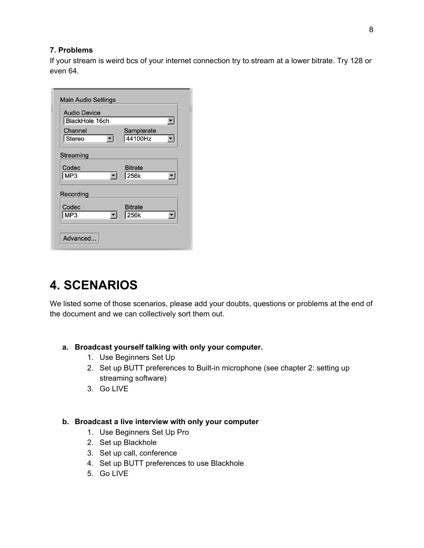#### **7. Problems**

If your stream is weird bcs of your internet connection try to stream at a lower bitrate. Try 128 or even 64.

| <b>Audio Device</b><br>BlackHole 16ch |                |
|---------------------------------------|----------------|
|                                       |                |
| Channel                               | Samplerate     |
| Stereo                                | 44100Hz        |
| MP3<br>Recording                      | 256k           |
|                                       |                |
| Codec                                 | <b>Bitrate</b> |
| MP3                                   | 256k           |

# **4. SCENARIOS**

We listed some of those scenarios, please add your doubts, questions or problems at the end of the document and we can collectively sort them out.

- <span id="page-7-0"></span>**a. Broadcast yourself talking with only your computer.**
	- 1. Use Beginners Set Up
	- 2. Set up BUTT preferences to Built-in microphone (see chapter 2: setting up streaming software)
	- 3. Go LIVE

#### <span id="page-7-1"></span>**b. Broadcast a live interview with only your computer**

- 1. Use Beginners Set Up Pro
- 2. Set up Blackhole
- 3. Set up call, conference
- 4. Set up BUTT preferences to use Blackhole
- 5. Go LIVE